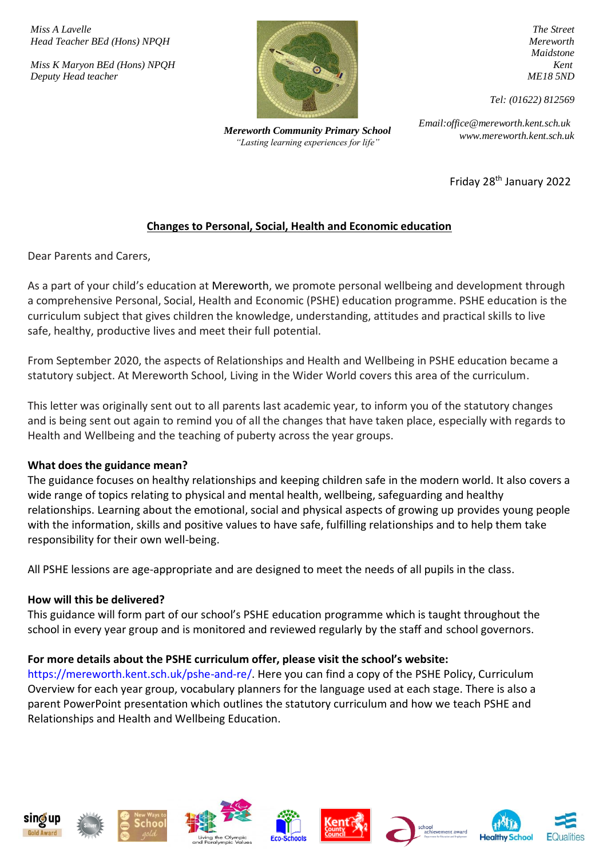*Miss A Lavelle Head Teacher BEd (Hons) NPQH*

*Miss K Maryon BEd (Hons) NPQH Deputy Head teacher*



*www.mereworth.kent.sch.uk Mereworth Community Primary School "Lasting learning experiences for life"*

*The Street Mereworth Maidstone Kent ME18 5ND*

*Tel: (01622) 812569*

*Email:office@mereworth.kent.sch.uk*

Friday 28th January 2022

# **Changes to Personal, Social, Health and Economic education**

Dear Parents and Carers,

As a part of your child's education at Mereworth, we promote personal wellbeing and development through a comprehensive Personal, Social, Health and Economic (PSHE) education programme. PSHE education is the curriculum subject that gives children the knowledge, understanding, attitudes and practical skills to live safe, healthy, productive lives and meet their full potential.

From September 2020, the aspects of Relationships and Health and Wellbeing in PSHE education became a statutory subject. At Mereworth School, Living in the Wider World covers this area of the curriculum.

This letter was originally sent out to all parents last academic year, to inform you of the statutory changes and is being sent out again to remind you of all the changes that have taken place, especially with regards to Health and Wellbeing and the teaching of puberty across the year groups.

# **What does the guidance mean?**

The guidance focuses on healthy relationships and keeping children safe in the modern world. It also covers a wide range of topics relating to physical and mental health, wellbeing, safeguarding and healthy relationships. Learning about the emotional, social and physical aspects of growing up provides young people with the information, skills and positive values to have safe, fulfilling relationships and to help them take responsibility for their own well-being.

All PSHE lessions are age-appropriate and are designed to meet the needs of all pupils in the class.

### **How will this be delivered?**

This guidance will form part of our school's PSHE education programme which is taught throughout the school in every year group and is monitored and reviewed regularly by the staff and school governors.

# **For more details about the PSHE curriculum offer, please visit the school's website:**

https://mereworth.kent.sch.uk/pshe-and-re/. Here you can find a copy of the PSHE Policy, Curriculum Overview for each year group, vocabulary planners for the language used at each stage. There is also a parent PowerPoint presentation which outlines the statutory curriculum and how we teach PSHE and Relationships and Health and Wellbeing Education.